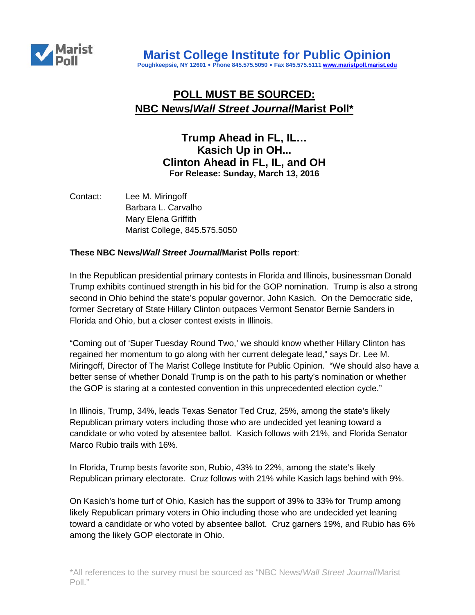

# **POLL MUST BE SOURCED: NBC News/***Wall Street Journal***/Marist Poll\***

## **Trump Ahead in FL, IL… Kasich Up in OH... Clinton Ahead in FL, IL, and OH For Release: Sunday, March 13, 2016**

Contact: Lee M. Miringoff Barbara L. Carvalho Mary Elena Griffith Marist College, 845.575.5050

### **These NBC News/***Wall Street Journal***/Marist Polls report**:

In the Republican presidential primary contests in Florida and Illinois, businessman Donald Trump exhibits continued strength in his bid for the GOP nomination. Trump is also a strong second in Ohio behind the state's popular governor, John Kasich. On the Democratic side, former Secretary of State Hillary Clinton outpaces Vermont Senator Bernie Sanders in Florida and Ohio, but a closer contest exists in Illinois.

"Coming out of 'Super Tuesday Round Two,' we should know whether Hillary Clinton has regained her momentum to go along with her current delegate lead," says Dr. Lee M. Miringoff, Director of The Marist College Institute for Public Opinion. "We should also have a better sense of whether Donald Trump is on the path to his party's nomination or whether the GOP is staring at a contested convention in this unprecedented election cycle."

In Illinois, Trump, 34%, leads Texas Senator Ted Cruz, 25%, among the state's likely Republican primary voters including those who are undecided yet leaning toward a candidate or who voted by absentee ballot. Kasich follows with 21%, and Florida Senator Marco Rubio trails with 16%.

In Florida, Trump bests favorite son, Rubio, 43% to 22%, among the state's likely Republican primary electorate. Cruz follows with 21% while Kasich lags behind with 9%.

On Kasich's home turf of Ohio, Kasich has the support of 39% to 33% for Trump among likely Republican primary voters in Ohio including those who are undecided yet leaning toward a candidate or who voted by absentee ballot. Cruz garners 19%, and Rubio has 6% among the likely GOP electorate in Ohio.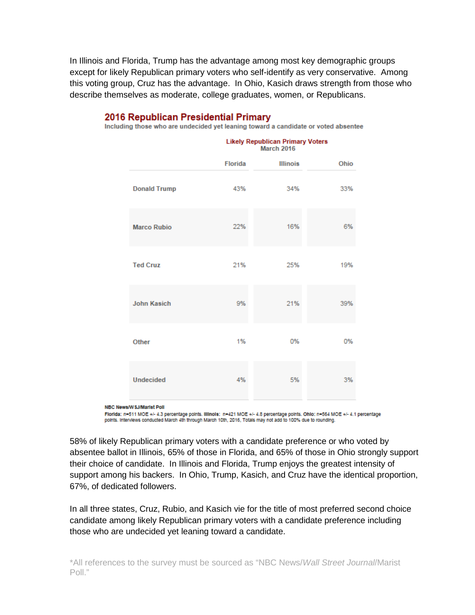In Illinois and Florida, Trump has the advantage among most key demographic groups except for likely Republican primary voters who self-identify as very conservative. Among this voting group, Cruz has the advantage. In Ohio, Kasich draws strength from those who describe themselves as moderate, college graduates, women, or Republicans.

|                     | <b>Likely Republican Primary Voters</b><br><b>March 2016</b> |                 |      |
|---------------------|--------------------------------------------------------------|-----------------|------|
|                     | <b>Florida</b>                                               | <b>Illinois</b> | Ohio |
| <b>Donald Trump</b> | 43%                                                          | 34%             | 33%  |
| <b>Marco Rubio</b>  | 22%                                                          | 16%             | 6%   |
| <b>Ted Cruz</b>     | 21%                                                          | 25%             | 19%  |
| <b>John Kasich</b>  | 9%                                                           | 21%             | 39%  |
| Other               | 1%                                                           | 0%              | 0%   |
| <b>Undecided</b>    | 4%                                                           | 5%              | 3%   |

### 2016 Republican Presidential Primary

Including those who are undecided yet leaning toward a candidate or voted absentee

NBC News/W SJ/Marist Poll

Florida: n=511 MOE +/- 4.3 percentage points. Illinois: n=421 MOE +/- 4.8 percentage points. Ohio: n=564 MOE +/- 4.1 percentage points. Interviews conducted March 4th through March 10th, 2016, Totals may not add to 100% due to rounding.

58% of likely Republican primary voters with a candidate preference or who voted by absentee ballot in Illinois, 65% of those in Florida, and 65% of those in Ohio strongly support their choice of candidate. In Illinois and Florida, Trump enjoys the greatest intensity of support among his backers. In Ohio, Trump, Kasich, and Cruz have the identical proportion, 67%, of dedicated followers.

In all three states, Cruz, Rubio, and Kasich vie for the title of most preferred second choice candidate among likely Republican primary voters with a candidate preference including those who are undecided yet leaning toward a candidate.

\*All references to the survey must be sourced as "NBC News/*Wall Street Journal*/Marist Poll."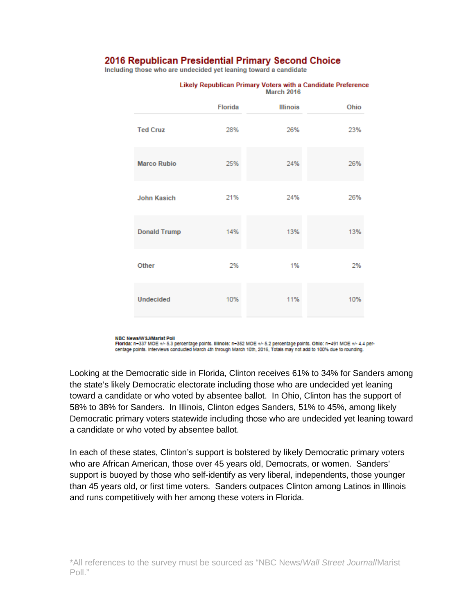### 2016 Republican Presidential Primary Second Choice

Including those who are undecided yet leaning toward a candidate

|                     | Florida | <b>Illinois</b> | Ohio |
|---------------------|---------|-----------------|------|
| <b>Ted Cruz</b>     | 28%     | 26%             | 23%  |
| <b>Marco Rubio</b>  | 25%     | 24%             | 26%  |
| <b>John Kasich</b>  | 21%     | 24%             | 26%  |
| <b>Donald Trump</b> | 14%     | 13%             | 13%  |
| Other               | 2%      | 1%              | 2%   |
| <b>Undecided</b>    | 10%     | 11%             | 10%  |

#### Likely Republican Primary Voters with a Candidate Preference **March 2016**

NBC News/W SJ/Marist Poll

Florida: n=337 MOE +/- 5.3 percentage points. Illinois: n=352 MOE +/- 5.2 percentage points. Ohio: n=491 MOE +/- 4.4 percentage points. Interviews conducted March 4th through March 10th, 2016, Totals may not add to 100% due to rounding.

Looking at the Democratic side in Florida, Clinton receives 61% to 34% for Sanders among the state's likely Democratic electorate including those who are undecided yet leaning toward a candidate or who voted by absentee ballot. In Ohio, Clinton has the support of 58% to 38% for Sanders. In Illinois, Clinton edges Sanders, 51% to 45%, among likely Democratic primary voters statewide including those who are undecided yet leaning toward a candidate or who voted by absentee ballot.

In each of these states, Clinton's support is bolstered by likely Democratic primary voters who are African American, those over 45 years old, Democrats, or women. Sanders' support is buoyed by those who self-identify as very liberal, independents, those younger than 45 years old, or first time voters. Sanders outpaces Clinton among Latinos in Illinois and runs competitively with her among these voters in Florida.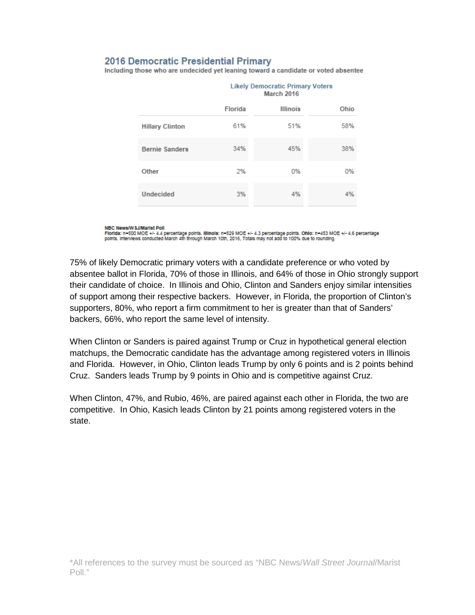### **2016 Democratic Presidential Primary**

Including those who are undecided yet leaning toward a candidate or voted absentee

|                        | <b>Likely Democratic Primary Voters</b><br><b>March 2016</b> |                 |      |
|------------------------|--------------------------------------------------------------|-----------------|------|
|                        | <b>Florida</b>                                               | <b>Illinois</b> | Ohio |
| <b>Hillary Clinton</b> | 61%                                                          | 51%             | 58%  |
| <b>Bernie Sanders</b>  | 34%                                                          | 45%             | 38%  |
| Other                  | 2%                                                           | 0%              | 0%   |
| <b>Undecided</b>       | 3%                                                           | 4%              | 4%   |

NBC News/W SJ/Marist Poll

Florida: n=500 MOE +/- 4.4 percentage points. Illinois: n=529 MOE +/- 4.3 percentage points. Ohio: n=453 MOE +/- 4.6 percentage<br>points. Interviews conducted March 4th through March 10th, 2016, Totals may not add to 100% du

75% of likely Democratic primary voters with a candidate preference or who voted by absentee ballot in Florida, 70% of those in Illinois, and 64% of those in Ohio strongly support their candidate of choice. In Illinois and Ohio, Clinton and Sanders enjoy similar intensities of support among their respective backers. However, in Florida, the proportion of Clinton's supporters, 80%, who report a firm commitment to her is greater than that of Sanders' backers, 66%, who report the same level of intensity.

When Clinton or Sanders is paired against Trump or Cruz in hypothetical general election matchups, the Democratic candidate has the advantage among registered voters in Illinois and Florida. However, in Ohio, Clinton leads Trump by only 6 points and is 2 points behind Cruz. Sanders leads Trump by 9 points in Ohio and is competitive against Cruz.

When Clinton, 47%, and Rubio, 46%, are paired against each other in Florida, the two are competitive. In Ohio, Kasich leads Clinton by 21 points among registered voters in the state.